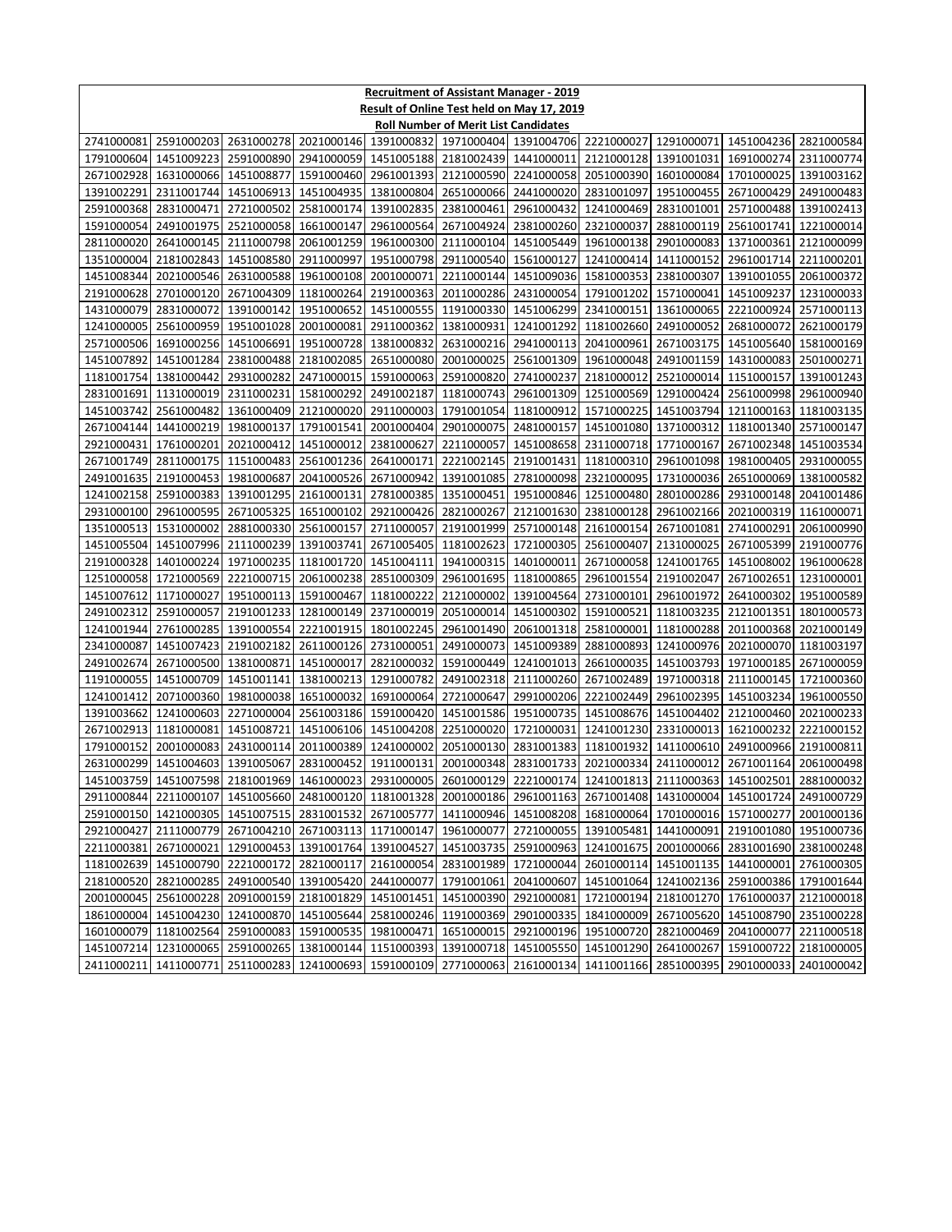| <b>Recruitment of Assistant Manager - 2019</b> |                                                                                                                          |                          |                          |                                             |                          |                                                                              |                                     |                       |                                     |                          |
|------------------------------------------------|--------------------------------------------------------------------------------------------------------------------------|--------------------------|--------------------------|---------------------------------------------|--------------------------|------------------------------------------------------------------------------|-------------------------------------|-----------------------|-------------------------------------|--------------------------|
| Result of Online Test held on May 17, 2019     |                                                                                                                          |                          |                          |                                             |                          |                                                                              |                                     |                       |                                     |                          |
| <b>Roll Number of Merit List Candidates</b>    |                                                                                                                          |                          |                          |                                             |                          |                                                                              |                                     |                       |                                     |                          |
| 2741000081                                     | 2591000203                                                                                                               | 2631000278               |                          | 2021000146 1391000832 1971000404 1391004706 |                          |                                                                              |                                     | 2221000027 1291000071 | 1451004236 2821000584               |                          |
|                                                | 1791000604 1451009223                                                                                                    | 2591000890               |                          | 2941000059 1451005188 2181002439 1441000011 |                          |                                                                              |                                     | 2121000128 1391001031 | 1691000274 2311000774               |                          |
|                                                | 2671002928 1631000066                                                                                                    | 1451008877               | 1591000460               | 2961001393                                  | 2121000590               | 2241000058                                                                   |                                     |                       | 2051000390 1601000084 1701000025    | 1391003162               |
| 1391002291                                     | 2311001744                                                                                                               | 1451006913               | 1451004935               | 1381000804                                  | 2651000066               | 2441000020                                                                   | 2831001097                          | 1951000455            | 2671000429                          | 2491000483               |
| 2591000368                                     | 2831000471                                                                                                               | 2721000502               | 2581000174               | 1391002835                                  | 2381000461               | 2961000432                                                                   | 1241000469                          | 2831001001            | 2571000488                          | 1391002413               |
| 1591000054                                     | 2491001975                                                                                                               | 2521000058               | 1661000147               | 2961000564                                  | 2671004924               | 2381000260                                                                   | 2321000037                          | 2881000119            | 2561001741                          | 1221000014               |
| 2811000020                                     | 2641000145                                                                                                               | 2111000798               |                          | 2061001259 1961000300                       | 2111000104               | 1451005449                                                                   | 1961000138                          |                       | 2901000083 1371000361               | 2121000099               |
| 1351000004                                     | 2181002843                                                                                                               | 1451008580               | 2911000997               | 1951000798                                  | 2911000540               | 1561000127                                                                   | 1241000414                          | 1411000152            | 2961001714                          | 2211000201               |
| 1451008344                                     | 2021000546                                                                                                               | 2631000588               | 1961000108               | 2001000071                                  | 2211000144               | 1451009036                                                                   | 1581000353                          | 2381000307            | 1391001055                          | 2061000372               |
| 2191000628                                     | 2701000120                                                                                                               | 2671004309               | 1181000264               | 2191000363                                  | 2011000286               | 2431000054                                                                   | 1791001202                          | 1571000041            | 1451009237                          | 1231000033               |
| 1431000079                                     | 2831000072                                                                                                               | 1391000142               | 1951000652               | 1451000555                                  | 1191000330               | 1451006299                                                                   | 2341000151                          | 1361000065            | 2221000924                          | 2571000113               |
| 1241000005                                     | 2561000959                                                                                                               | 1951001028               | 2001000081               | 2911000362                                  | 1381000931               | 1241001292                                                                   | 1181002660                          | 2491000052            | 2681000072                          | 2621000179               |
| 2571000506                                     | 1691000256                                                                                                               | 1451006691               |                          | 1951000728 1381000832                       | 2631000216               | 2941000113                                                                   | 2041000961                          |                       | 2671003175 1451005640               | 1581000169               |
| 1451007892                                     | 1451001284                                                                                                               | 2381000488               | 2181002085               | 2651000080                                  | 2001000025               | 2561001309                                                                   | 1961000048                          |                       | 2491001159 1431000083               | 2501000271               |
| 1181001754                                     | 1381000442                                                                                                               | 2931000282               | 2471000015               | 1591000063                                  | 2591000820               | 2741000237                                                                   | 2181000012                          | 2521000014            | 1151000157                          | 1391001243               |
| 2831001691                                     | 1131000019                                                                                                               | 2311000231               | 1581000292               | 2491002187                                  | 1181000743               | 2961001309                                                                   | 1251000569                          | 1291000424            | 2561000998                          | 2961000940               |
| 1451003742                                     | 2561000482                                                                                                               | 1361000409               |                          | 2121000020 2911000003                       | 1791001054               | 1181000912                                                                   | 1571000225                          |                       | 1451003794 1211000163               | 1181003135               |
| 2671004144                                     | 1441000219                                                                                                               | 1981000137               | 1791001541<br>1451000012 | 2001000404                                  | 2901000075               | 2481000157                                                                   | 1451001080                          | 1771000167            | 1371000312 1181001340               | 2571000147               |
| 2921000431                                     | 1761000201                                                                                                               | 2021000412               |                          | 2381000627                                  | 2211000057<br>2221002145 | 1451008658                                                                   | 2311000718                          |                       | 2671002348<br>1981000405            | 1451003534               |
| 2671001749<br>2491001635                       | 2811000175                                                                                                               | 1151000483               | 2561001236               | 2641000171                                  |                          | 2191001431                                                                   | 1181000310                          | 2961001098            |                                     | 2931000055               |
|                                                | 2191000453<br>1241002158 2591000383                                                                                      | 1981000687<br>1391001295 | 2041000526<br>2161000131 | 2671000942<br>2781000385                    | 1391001085<br>1351000451 | 2781000098                                                                   | 2321000095<br>1951000846 1251000480 | 1731000036            | 2651000069<br>2801000286 2931000148 | 1381000582<br>2041001486 |
|                                                |                                                                                                                          |                          | 1651000102               | 2921000426                                  | 2821000267               | 2121001630                                                                   | 2381000128                          |                       | 2961002166 2021000319               | 1161000071               |
| 1351000513                                     | 2931000100 2961000595<br>1531000002                                                                                      | 2671005325<br>2881000330 | 2561000157               | 2711000057                                  | 2191001999               | 2571000148                                                                   | 2161000154                          | 2671001081            | 2741000291                          | 2061000990               |
| 1451005504                                     | 1451007996                                                                                                               | 2111000239               | 1391003741               | 2671005405                                  | 1181002623               | 1721000305                                                                   | 2561000407                          | 2131000025            | 2671005399                          | 2191000776               |
| 2191000328                                     | 1401000224                                                                                                               | 1971000235               | 1181001720               | 1451004111                                  | 1941000315               | 1401000011                                                                   | 2671000058                          | 1241001765            | 1451008002                          | 1961000628               |
|                                                | 1251000058 1721000569                                                                                                    | 2221000715               | 2061000238               | 2851000309                                  | 2961001695               | 1181000865                                                                   | 2961001554                          | 2191002047            | 2671002651                          | 1231000001               |
| 1451007612                                     | 1171000027                                                                                                               | 1951000113               | 1591000467               | 1181000222                                  | 2121000002               | 1391004564                                                                   | 2731000101                          | 2961001972            | 2641000302                          | 1951000589               |
| 2491002312                                     | 2591000057                                                                                                               | 2191001233               | 1281000149               | 2371000019                                  | 2051000014               | 1451000302                                                                   | 1591000521                          | 1181003235            | 2121001351                          | 1801000573               |
| 1241001944                                     | 2761000285                                                                                                               | 1391000554               | 2221001915               | 1801002245                                  | 2961001490               | 2061001318                                                                   | 2581000001                          | 1181000288            | 2011000368                          | 2021000149               |
| 2341000087                                     | 1451007423                                                                                                               | 2191002182               |                          | 2611000126 2731000051                       | 2491000073               | 1451009389                                                                   | 2881000893                          | 1241000976            | 2021000070                          | 1181003197               |
| 2491002674                                     | 2671000500                                                                                                               | 1381000871               | 1451000017               | 2821000032                                  | 1591000449               | 1241001013                                                                   | 2661000035                          | 1451003793            | 1971000185                          | 2671000059               |
| 1191000055                                     | 1451000709                                                                                                               | 1451001141               | 1381000213               | 1291000782                                  | 2491002318               | 2111000260                                                                   | 2671002489                          |                       | 1971000318 2111000145               | 1721000360               |
| 1241001412                                     | 2071000360                                                                                                               | 1981000038               | 1651000032               | 1691000064                                  | 2721000647               | 2991000206                                                                   | 2221002449                          | 2961002395            | 1451003234                          | 1961000550               |
| 1391003662                                     | 1241000603                                                                                                               | 2271000004               | 2561003186               | 1591000420                                  | 1451001586               | 1951000735                                                                   | 1451008676                          | 1451004402            | 2121000460                          | 2021000233               |
| 2671002913                                     | 1181000081                                                                                                               | 1451008721               |                          | 1451006106 1451004208                       | 2251000020               | 1721000031                                                                   | 1241001230                          | 2331000013            | 1621000232                          | 2221000152               |
| 1791000152                                     | 2001000083                                                                                                               | 2431000114               |                          | 2011000389 1241000002                       | 2051000130               | 2831001383                                                                   | 1181001932                          |                       | 1411000610 2491000966               | 2191000811               |
|                                                | 2631000299 1451004603 1391005067                                                                                         |                          |                          |                                             |                          | 2831000452 1911000131 2001000348 2831001733 2021000334 2411000012 2671001164 |                                     |                       |                                     | 2061000498               |
|                                                | 1451003759 1451007598 2181001969 1461000023 2931000005 2601000129 2221000174 1241001813 2111000363 1451002501 2881000032 |                          |                          |                                             |                          |                                                                              |                                     |                       |                                     |                          |
|                                                | 2911000844 2211000107                                                                                                    | 1451005660               |                          | 2481000120 1181001328                       | 2001000186               | 2961001163                                                                   |                                     |                       | 2671001408 1431000004 1451001724    | 2491000729               |
|                                                | 2591000150 1421000305                                                                                                    | 1451007515               | 2831001532               | 2671005777                                  |                          | 1411000946 1451008208 1681000064                                             |                                     |                       | 1701000016 1571000277               | 2001000136               |
|                                                | 2921000427 2111000779                                                                                                    | 2671004210               |                          | 2671003113 1171000147 1961000077            |                          | 2721000055                                                                   | 1391005481                          | 1441000091            | 2191001080                          | 1951000736               |
| 2211000381                                     | 2671000021                                                                                                               | 1291000453               |                          | 1391001764 1391004527                       | 1451003735               | 2591000963                                                                   | 1241001675                          |                       | 2001000066 2831001690 2381000248    |                          |
|                                                | 1181002639 1451000790                                                                                                    | 2221000172               | 2821000117               | 2161000054                                  |                          | 2831001989 1721000044                                                        | 2601000114                          |                       | 1451001135 1441000001               | 2761000305               |
| 2181000520                                     | 2821000285                                                                                                               | 2491000540               | 1391005420               | 2441000077                                  | 1791001061               | 2041000607                                                                   | 1451001064                          | 1241002136            | 2591000386                          | 1791001644               |
| 2001000045                                     | 2561000228                                                                                                               | 2091000159               | 2181001829               |                                             | 1451001451 1451000390    | 2921000081                                                                   | 1721000194                          |                       | 2181001270 1761000037               | 2121000018               |
|                                                | 1861000004 1451004230 1241000870                                                                                         |                          | 1451005644               |                                             | 2581000246 1191000369    | 2901000335                                                                   | 1841000009                          |                       | 2671005620 1451008790 2351000228    |                          |
|                                                | 1601000079 1181002564                                                                                                    | 2591000083               | 1591000535               | 1981000471                                  | 1651000015               | 2921000196                                                                   | 1951000720                          |                       | 2821000469 2041000077               | 2211000518               |
|                                                | 1451007214 1231000065                                                                                                    | 2591000265               | 1381000144               | 1151000393                                  |                          | 1391000718 1451005550                                                        | 1451001290                          | 2641000267            | 1591000722                          | 2181000005               |
| 2411000211                                     | 1411000771                                                                                                               | 2511000283               | 1241000693               | 1591000109                                  | 2771000063               | 2161000134                                                                   | 1411001166                          | 2851000395            | 2901000033                          | 2401000042               |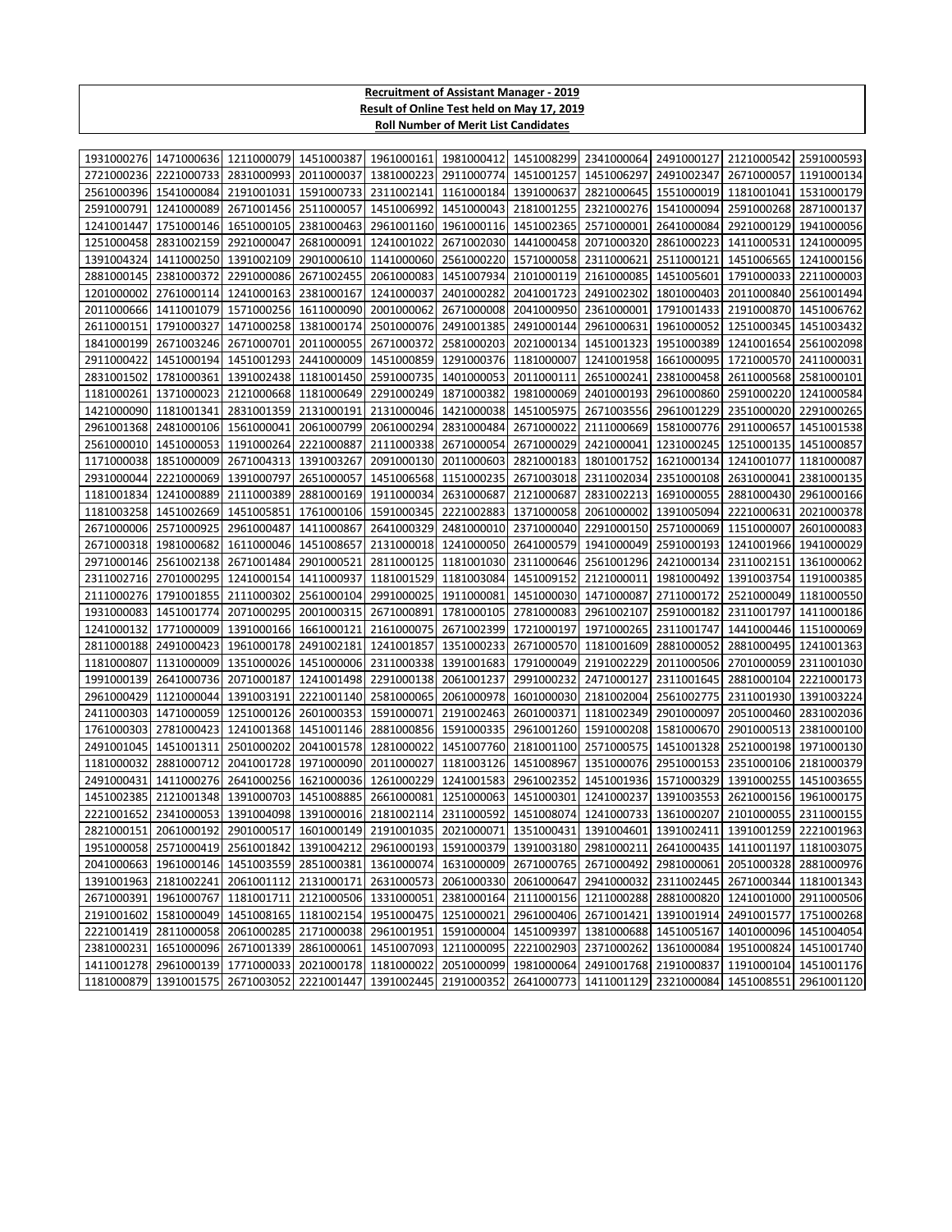## **Recruitment of Assistant Manager - 2019 Result of Online Test held on May 17, 2019 Roll Number of Merit List Candidates**

| 2221000733<br>2831000993<br>2011000037<br>1381000223<br>2911000774<br>1451001257<br>1451006297<br>2491002347<br>2671000057 1191000134<br>2721000236<br>2561000396<br>1541000084<br>2191001031<br>1591000733<br>2311002141<br>1161000184<br>1391000637<br>2821000645<br>1551000019<br>1181001041<br>1531000179<br>2591000791<br>1241000089<br>2671001456<br>2511000057<br>1451006992<br>1451000043<br>2181001255<br>2321000276<br>1541000094<br>2591000268<br>2871000137<br>1241001447<br>1751000146<br>1651000105<br>2381000463<br>2961001160<br>1961000116<br>1451002365<br>2571000001<br>2641000084<br>2921000129<br>1941000056<br>1441000458<br>1251000458<br>2831002159<br>2921000047<br>2681000091<br>1241001022<br>2671002030<br>2071000320<br>2861000223<br>1411000531<br>1241000095<br>1411000250<br>2901000610<br>1141000060<br>2561000220<br>1571000058<br>2311000621<br>2511000121<br>1451006565<br>1391004324<br>1391002109<br>1241000156<br>2881000145<br>2381000372<br>2291000086<br>2671002455<br>2061000083<br>1451007934<br>2101000119<br>2161000085<br>1451005601<br>1791000033<br>2211000003<br>2761000114<br>1241000163<br>2381000167<br>1241000037<br>2401000282<br>2041001723<br>2491002302<br>1801000403<br>2011000840<br>1201000002<br>2561001494<br>2011000666<br>1411001079<br>1571000256<br>1611000090<br>2001000062<br>2671000008<br>2041000950<br>2361000001<br>1791001433<br>2191000870 1451006762<br>2611000151<br>1791000327<br>1471000258<br>1381000174<br>2501000076<br>2491001385<br>2491000144<br>2961000631<br>1961000052<br>1251000345<br>1451003432<br>2671003246<br>2671000701<br>2011000055<br>2671000372<br>2581000203<br>2021000134<br>1451001323<br>1951000389<br>1241001654<br>1841000199<br>2561002098<br>2911000422<br>1451000194<br>1451001293<br>2441000009<br>1451000859<br>1291000376<br>1181000007<br>1241001958<br>1661000095<br>1721000570<br>2411000031<br>1781000361<br>1391002438<br>1181001450<br>2591000735<br>1401000053<br>2011000111<br>2651000241<br>2381000458<br>2611000568<br>2831001502<br>2581000101<br>1181000261<br>1371000023<br>2121000668<br>1181000649<br>2291000249<br>1871000382<br>1981000069<br>2401000193<br>2961000860<br>2591000220 1241000584<br>1451005975<br>2671003556<br>2961001229<br>2351000020 2291000265<br>1421000090<br>1181001341<br>2831001359<br>2131000191<br>2131000046<br>1421000038<br>2481000106<br>2061000799<br>2061000294<br>2831000484<br>2671000022<br>2111000669<br>1581000776<br>2911000657 1451001538<br>2961001368<br>1561000041<br>2561000010<br>1451000053<br>1191000264<br>2221000887<br>2111000338<br>2671000054<br>2671000029<br>2421000041<br>1231000245<br>1251000135<br>1451000857<br>1851000009<br>2671004313<br>1391003267<br>2091000130<br>2011000603<br>2821000183<br>1801001752<br>1621000134<br>1241001077<br>1171000038<br>1181000087<br>2931000044<br>2221000069<br>1391000797<br>2651000057<br>1451006568<br>1151000235<br>2671003018<br>2311002034<br>2351000108<br>2631000041<br>2381000135<br>1181001834<br>1241000889<br>2111000389<br>2881000169<br>1911000034<br>2631000687<br>2121000687<br>2831002213<br>1691000055<br>2881000430<br>2961000166<br>1451002669<br>1761000106<br>1591000345<br>2221002883<br>1371000058<br>2061000002<br>1391005094<br>2221000631<br>1181003258<br>1451005851<br>2021000378<br>2671000006<br>2571000925<br>2961000487<br>1411000867<br>2641000329<br>2481000010<br>2371000040<br>2291000150<br>2571000069<br>1151000007<br>2601000083<br>1981000682<br>1611000046<br>1451008657<br>2131000018<br>1241000050<br>2641000579<br>1941000049<br>2591000193<br>1241001966<br>2671000318<br>1941000029<br>2971000146<br>2561002138<br>2671001484<br>2901000521<br>2811000125<br>1181001030<br>2311000646<br>2561001296<br>2421000134<br>2311002151<br>1361000062<br>2701000295<br>1451009152<br>2311002716<br>1241000154<br>1411000937<br>1181001529<br>1181003084<br>2121000011<br>1981000492<br>1391003754<br>1191000385<br>1791001855<br>2561000104<br>2991000025<br>1911000081<br>1451000030<br>1471000087<br>2521000049<br>2111000276<br>2111000302<br>2711000172<br>1181000550<br>1931000083<br>1451001774<br>2071000295<br>2001000315<br>2671000891<br>1781000105<br>2781000083<br>2961002107<br>2591000182<br>2311001797<br>1411000186<br>1771000009<br>1391000166<br>1661000121<br>2161000075<br>2671002399<br>1721000197<br>1971000265<br>2311001747<br>1441000446<br>1241000132<br>1151000069<br>2811000188<br>2491000423<br>1961000178<br>2491002181<br>1241001857<br>1351000233<br>2671000570<br>1181001609<br>2881000052<br>2881000495<br>1241001363<br>1451000006<br>1791000049<br>2191002229<br>2701000059<br>1181000807<br>1131000009<br>1351000026<br>2311000338<br>1391001683<br>2011000506<br>2311001030<br>2641000736<br>2071000187<br>1241001498<br>2291000138<br>2061001237<br>2991000232<br>2471000127<br>2881000104<br>1991000139<br>2311001645<br>2221000173<br>2961000429<br>1121000044<br>1391003191<br>2221001140<br>2581000065<br>2061000978<br>1601000030<br>2181002004<br>2561002775<br>2311001930<br>1391003224<br>1471000059<br>1251000126<br>2601000353<br>1591000071<br>2191002463<br>2601000371<br>1181002349<br>2901000097<br>2051000460<br>2411000303<br>2831002036<br>1761000303<br>2781000423<br>1241001368<br>1451001146<br>2881000856<br>1591000335<br>2961001260<br>1591000208<br>1581000670<br>2901000513<br>2381000100<br>2501000202<br>2041001578<br>1281000022<br>1451007760<br>2181001100<br>2571000575<br>1451001328<br>2521000198 1971000130<br>2491001045<br>1451001311<br>2881000712<br>1971000090<br>2011000027<br>1181003126 1451008967<br>1351000076<br>2951000153<br>2351000106<br>1181000032<br>2041001728<br>2181000379<br>2491000431<br>1411000276<br>2641000256<br>1621000036<br>1261000229<br>1241001583<br>2961002352<br>1451001936<br>1571000329<br>1391000255<br>1451003655<br>2121001348<br>1451008885<br>2661000081<br>1251000063<br>1451000301<br>1241000237<br>1391003553<br>2621000156<br>1451002385<br>1391000703<br>1961000175<br>2311000592<br>1451008074<br>2221001652<br>2341000053<br>1391004098<br>1391000016<br>2181002114<br>1241000733<br>1361000207<br>2101000055<br>2311000155<br>1601000149 2191001035 2021000071 1351000431 1391004601 1391002411<br>2821000151 2061000192<br>2901000517<br>1391001259 2221001963<br>1411001197 1181003075 129100412 1291004212 2961000193 1591000379 1391003180 2981000211 2641000435 1411001197 1181003075<br>2041000663 1961000146 1451003559<br>1631000009 2671000765 2671000492<br>2051000328 2881000976<br>2851000381 1361000074<br>2981000061<br>1391001963<br>2181002241<br>2061001112<br>2131000171<br>2631000573<br>2061000330<br>2061000647<br>2941000032<br>2311002445<br>2671000344 1181001343<br>1961000767 1181001711<br>2671000391<br>2121000506<br>1331000051<br>2381000164<br>2111000156<br>1211000288<br>2881000820 1241001000 2911000506<br>2191001602 1581000049 1451008165<br>1181002154<br>1951000475<br>1251000021<br>2961000406 2671001421<br>1391001914 2491001577 1751000268<br>2221001419 2811000058 2061000285<br>2171000038<br>2961001951<br>1591000004 1451009397<br>1381000688<br>1451005167<br>1401000096 1451004054<br>2381000231<br>1651000096<br>2671001339<br>2861000061<br>1451007093<br>1211000095<br>2221002903<br>2371000262<br>1361000084<br>1951000824<br>1451001740<br>1411001278 2961000139 1771000033<br>2021000178 1181000022<br>2051000099 1981000064<br>2491001768 2191000837<br>1191000104<br>1451001176 |  |  | 1981000276 1471000636 1211000079 1451000387 1961000161 1981000412 1451008299 2341000064 2491000127 2121000542 2591000593 |  |  |  |
|---------------------------------------------------------------------------------------------------------------------------------------------------------------------------------------------------------------------------------------------------------------------------------------------------------------------------------------------------------------------------------------------------------------------------------------------------------------------------------------------------------------------------------------------------------------------------------------------------------------------------------------------------------------------------------------------------------------------------------------------------------------------------------------------------------------------------------------------------------------------------------------------------------------------------------------------------------------------------------------------------------------------------------------------------------------------------------------------------------------------------------------------------------------------------------------------------------------------------------------------------------------------------------------------------------------------------------------------------------------------------------------------------------------------------------------------------------------------------------------------------------------------------------------------------------------------------------------------------------------------------------------------------------------------------------------------------------------------------------------------------------------------------------------------------------------------------------------------------------------------------------------------------------------------------------------------------------------------------------------------------------------------------------------------------------------------------------------------------------------------------------------------------------------------------------------------------------------------------------------------------------------------------------------------------------------------------------------------------------------------------------------------------------------------------------------------------------------------------------------------------------------------------------------------------------------------------------------------------------------------------------------------------------------------------------------------------------------------------------------------------------------------------------------------------------------------------------------------------------------------------------------------------------------------------------------------------------------------------------------------------------------------------------------------------------------------------------------------------------------------------------------------------------------------------------------------------------------------------------------------------------------------------------------------------------------------------------------------------------------------------------------------------------------------------------------------------------------------------------------------------------------------------------------------------------------------------------------------------------------------------------------------------------------------------------------------------------------------------------------------------------------------------------------------------------------------------------------------------------------------------------------------------------------------------------------------------------------------------------------------------------------------------------------------------------------------------------------------------------------------------------------------------------------------------------------------------------------------------------------------------------------------------------------------------------------------------------------------------------------------------------------------------------------------------------------------------------------------------------------------------------------------------------------------------------------------------------------------------------------------------------------------------------------------------------------------------------------------------------------------------------------------------------------------------------------------------------------------------------------------------------------------------------------------------------------------------------------------------------------------------------------------------------------------------------------------------------------------------------------------------------------------------------------------------------------------------------------------------------------------------------------------------------------------------------------------------------------------------------------------------------------------------------------------------------------------------------------------------------------------------------------------------------------------------------------------------------------------------------------------------------------------------------------------------------------------------------------------------------------------------------------------------------------------------------------------------------------------------------------------------------------------------------------------------------------------------------------------------------------------------------------------------------------------------------------------------------------------------------------------------------------------------------------------------------------------------------------------------------------------------------------------------------------------------------------------------------------------------------------------------------------------------------------------------------------------------------------------------------------------------------------------------------------------------------------------------------------------------------------------------------------------------------------------------------------------------------------------------------------------------------------------------------------------------------------------------------------------------------------------------------------------------------------------------------------------------------------------------------------------------------------------------------------------------------------------------------------------------------------------------------------------------------------------------------------------------------------------------------------------------------------------------------------------------------------------------------------------------------------------------------------------------------------------------------------------------------------------------------------------------------------------------------------------|--|--|--------------------------------------------------------------------------------------------------------------------------|--|--|--|
|                                                                                                                                                                                                                                                                                                                                                                                                                                                                                                                                                                                                                                                                                                                                                                                                                                                                                                                                                                                                                                                                                                                                                                                                                                                                                                                                                                                                                                                                                                                                                                                                                                                                                                                                                                                                                                                                                                                                                                                                                                                                                                                                                                                                                                                                                                                                                                                                                                                                                                                                                                                                                                                                                                                                                                                                                                                                                                                                                                                                                                                                                                                                                                                                                                                                                                                                                                                                                                                                                                                                                                                                                                                                                                                                                                                                                                                                                                                                                                                                                                                                                                                                                                                                                                                                                                                                                                                                                                                                                                                                                                                                                                                                                                                                                                                                                                                                                                                                                                                                                                                                                                                                                                                                                                                                                                                                                                                                                                                                                                                                                                                                                                                                                                                                                                                                                                                                                                                                                                                                                                                                                                                                                                                                                                                                                                                                                                                                                                                                                                                                                                                                                                                                                                                                                                                                                                                                                                                                                                                                                                                                                                                                                                                                                                                                                                                                                                                                                                                                                                                                             |  |  |                                                                                                                          |  |  |  |
|                                                                                                                                                                                                                                                                                                                                                                                                                                                                                                                                                                                                                                                                                                                                                                                                                                                                                                                                                                                                                                                                                                                                                                                                                                                                                                                                                                                                                                                                                                                                                                                                                                                                                                                                                                                                                                                                                                                                                                                                                                                                                                                                                                                                                                                                                                                                                                                                                                                                                                                                                                                                                                                                                                                                                                                                                                                                                                                                                                                                                                                                                                                                                                                                                                                                                                                                                                                                                                                                                                                                                                                                                                                                                                                                                                                                                                                                                                                                                                                                                                                                                                                                                                                                                                                                                                                                                                                                                                                                                                                                                                                                                                                                                                                                                                                                                                                                                                                                                                                                                                                                                                                                                                                                                                                                                                                                                                                                                                                                                                                                                                                                                                                                                                                                                                                                                                                                                                                                                                                                                                                                                                                                                                                                                                                                                                                                                                                                                                                                                                                                                                                                                                                                                                                                                                                                                                                                                                                                                                                                                                                                                                                                                                                                                                                                                                                                                                                                                                                                                                                                             |  |  |                                                                                                                          |  |  |  |
|                                                                                                                                                                                                                                                                                                                                                                                                                                                                                                                                                                                                                                                                                                                                                                                                                                                                                                                                                                                                                                                                                                                                                                                                                                                                                                                                                                                                                                                                                                                                                                                                                                                                                                                                                                                                                                                                                                                                                                                                                                                                                                                                                                                                                                                                                                                                                                                                                                                                                                                                                                                                                                                                                                                                                                                                                                                                                                                                                                                                                                                                                                                                                                                                                                                                                                                                                                                                                                                                                                                                                                                                                                                                                                                                                                                                                                                                                                                                                                                                                                                                                                                                                                                                                                                                                                                                                                                                                                                                                                                                                                                                                                                                                                                                                                                                                                                                                                                                                                                                                                                                                                                                                                                                                                                                                                                                                                                                                                                                                                                                                                                                                                                                                                                                                                                                                                                                                                                                                                                                                                                                                                                                                                                                                                                                                                                                                                                                                                                                                                                                                                                                                                                                                                                                                                                                                                                                                                                                                                                                                                                                                                                                                                                                                                                                                                                                                                                                                                                                                                                                             |  |  |                                                                                                                          |  |  |  |
|                                                                                                                                                                                                                                                                                                                                                                                                                                                                                                                                                                                                                                                                                                                                                                                                                                                                                                                                                                                                                                                                                                                                                                                                                                                                                                                                                                                                                                                                                                                                                                                                                                                                                                                                                                                                                                                                                                                                                                                                                                                                                                                                                                                                                                                                                                                                                                                                                                                                                                                                                                                                                                                                                                                                                                                                                                                                                                                                                                                                                                                                                                                                                                                                                                                                                                                                                                                                                                                                                                                                                                                                                                                                                                                                                                                                                                                                                                                                                                                                                                                                                                                                                                                                                                                                                                                                                                                                                                                                                                                                                                                                                                                                                                                                                                                                                                                                                                                                                                                                                                                                                                                                                                                                                                                                                                                                                                                                                                                                                                                                                                                                                                                                                                                                                                                                                                                                                                                                                                                                                                                                                                                                                                                                                                                                                                                                                                                                                                                                                                                                                                                                                                                                                                                                                                                                                                                                                                                                                                                                                                                                                                                                                                                                                                                                                                                                                                                                                                                                                                                                             |  |  |                                                                                                                          |  |  |  |
|                                                                                                                                                                                                                                                                                                                                                                                                                                                                                                                                                                                                                                                                                                                                                                                                                                                                                                                                                                                                                                                                                                                                                                                                                                                                                                                                                                                                                                                                                                                                                                                                                                                                                                                                                                                                                                                                                                                                                                                                                                                                                                                                                                                                                                                                                                                                                                                                                                                                                                                                                                                                                                                                                                                                                                                                                                                                                                                                                                                                                                                                                                                                                                                                                                                                                                                                                                                                                                                                                                                                                                                                                                                                                                                                                                                                                                                                                                                                                                                                                                                                                                                                                                                                                                                                                                                                                                                                                                                                                                                                                                                                                                                                                                                                                                                                                                                                                                                                                                                                                                                                                                                                                                                                                                                                                                                                                                                                                                                                                                                                                                                                                                                                                                                                                                                                                                                                                                                                                                                                                                                                                                                                                                                                                                                                                                                                                                                                                                                                                                                                                                                                                                                                                                                                                                                                                                                                                                                                                                                                                                                                                                                                                                                                                                                                                                                                                                                                                                                                                                                                             |  |  |                                                                                                                          |  |  |  |
|                                                                                                                                                                                                                                                                                                                                                                                                                                                                                                                                                                                                                                                                                                                                                                                                                                                                                                                                                                                                                                                                                                                                                                                                                                                                                                                                                                                                                                                                                                                                                                                                                                                                                                                                                                                                                                                                                                                                                                                                                                                                                                                                                                                                                                                                                                                                                                                                                                                                                                                                                                                                                                                                                                                                                                                                                                                                                                                                                                                                                                                                                                                                                                                                                                                                                                                                                                                                                                                                                                                                                                                                                                                                                                                                                                                                                                                                                                                                                                                                                                                                                                                                                                                                                                                                                                                                                                                                                                                                                                                                                                                                                                                                                                                                                                                                                                                                                                                                                                                                                                                                                                                                                                                                                                                                                                                                                                                                                                                                                                                                                                                                                                                                                                                                                                                                                                                                                                                                                                                                                                                                                                                                                                                                                                                                                                                                                                                                                                                                                                                                                                                                                                                                                                                                                                                                                                                                                                                                                                                                                                                                                                                                                                                                                                                                                                                                                                                                                                                                                                                                             |  |  |                                                                                                                          |  |  |  |
|                                                                                                                                                                                                                                                                                                                                                                                                                                                                                                                                                                                                                                                                                                                                                                                                                                                                                                                                                                                                                                                                                                                                                                                                                                                                                                                                                                                                                                                                                                                                                                                                                                                                                                                                                                                                                                                                                                                                                                                                                                                                                                                                                                                                                                                                                                                                                                                                                                                                                                                                                                                                                                                                                                                                                                                                                                                                                                                                                                                                                                                                                                                                                                                                                                                                                                                                                                                                                                                                                                                                                                                                                                                                                                                                                                                                                                                                                                                                                                                                                                                                                                                                                                                                                                                                                                                                                                                                                                                                                                                                                                                                                                                                                                                                                                                                                                                                                                                                                                                                                                                                                                                                                                                                                                                                                                                                                                                                                                                                                                                                                                                                                                                                                                                                                                                                                                                                                                                                                                                                                                                                                                                                                                                                                                                                                                                                                                                                                                                                                                                                                                                                                                                                                                                                                                                                                                                                                                                                                                                                                                                                                                                                                                                                                                                                                                                                                                                                                                                                                                                                             |  |  |                                                                                                                          |  |  |  |
|                                                                                                                                                                                                                                                                                                                                                                                                                                                                                                                                                                                                                                                                                                                                                                                                                                                                                                                                                                                                                                                                                                                                                                                                                                                                                                                                                                                                                                                                                                                                                                                                                                                                                                                                                                                                                                                                                                                                                                                                                                                                                                                                                                                                                                                                                                                                                                                                                                                                                                                                                                                                                                                                                                                                                                                                                                                                                                                                                                                                                                                                                                                                                                                                                                                                                                                                                                                                                                                                                                                                                                                                                                                                                                                                                                                                                                                                                                                                                                                                                                                                                                                                                                                                                                                                                                                                                                                                                                                                                                                                                                                                                                                                                                                                                                                                                                                                                                                                                                                                                                                                                                                                                                                                                                                                                                                                                                                                                                                                                                                                                                                                                                                                                                                                                                                                                                                                                                                                                                                                                                                                                                                                                                                                                                                                                                                                                                                                                                                                                                                                                                                                                                                                                                                                                                                                                                                                                                                                                                                                                                                                                                                                                                                                                                                                                                                                                                                                                                                                                                                                             |  |  |                                                                                                                          |  |  |  |
|                                                                                                                                                                                                                                                                                                                                                                                                                                                                                                                                                                                                                                                                                                                                                                                                                                                                                                                                                                                                                                                                                                                                                                                                                                                                                                                                                                                                                                                                                                                                                                                                                                                                                                                                                                                                                                                                                                                                                                                                                                                                                                                                                                                                                                                                                                                                                                                                                                                                                                                                                                                                                                                                                                                                                                                                                                                                                                                                                                                                                                                                                                                                                                                                                                                                                                                                                                                                                                                                                                                                                                                                                                                                                                                                                                                                                                                                                                                                                                                                                                                                                                                                                                                                                                                                                                                                                                                                                                                                                                                                                                                                                                                                                                                                                                                                                                                                                                                                                                                                                                                                                                                                                                                                                                                                                                                                                                                                                                                                                                                                                                                                                                                                                                                                                                                                                                                                                                                                                                                                                                                                                                                                                                                                                                                                                                                                                                                                                                                                                                                                                                                                                                                                                                                                                                                                                                                                                                                                                                                                                                                                                                                                                                                                                                                                                                                                                                                                                                                                                                                                             |  |  |                                                                                                                          |  |  |  |
|                                                                                                                                                                                                                                                                                                                                                                                                                                                                                                                                                                                                                                                                                                                                                                                                                                                                                                                                                                                                                                                                                                                                                                                                                                                                                                                                                                                                                                                                                                                                                                                                                                                                                                                                                                                                                                                                                                                                                                                                                                                                                                                                                                                                                                                                                                                                                                                                                                                                                                                                                                                                                                                                                                                                                                                                                                                                                                                                                                                                                                                                                                                                                                                                                                                                                                                                                                                                                                                                                                                                                                                                                                                                                                                                                                                                                                                                                                                                                                                                                                                                                                                                                                                                                                                                                                                                                                                                                                                                                                                                                                                                                                                                                                                                                                                                                                                                                                                                                                                                                                                                                                                                                                                                                                                                                                                                                                                                                                                                                                                                                                                                                                                                                                                                                                                                                                                                                                                                                                                                                                                                                                                                                                                                                                                                                                                                                                                                                                                                                                                                                                                                                                                                                                                                                                                                                                                                                                                                                                                                                                                                                                                                                                                                                                                                                                                                                                                                                                                                                                                                             |  |  |                                                                                                                          |  |  |  |
|                                                                                                                                                                                                                                                                                                                                                                                                                                                                                                                                                                                                                                                                                                                                                                                                                                                                                                                                                                                                                                                                                                                                                                                                                                                                                                                                                                                                                                                                                                                                                                                                                                                                                                                                                                                                                                                                                                                                                                                                                                                                                                                                                                                                                                                                                                                                                                                                                                                                                                                                                                                                                                                                                                                                                                                                                                                                                                                                                                                                                                                                                                                                                                                                                                                                                                                                                                                                                                                                                                                                                                                                                                                                                                                                                                                                                                                                                                                                                                                                                                                                                                                                                                                                                                                                                                                                                                                                                                                                                                                                                                                                                                                                                                                                                                                                                                                                                                                                                                                                                                                                                                                                                                                                                                                                                                                                                                                                                                                                                                                                                                                                                                                                                                                                                                                                                                                                                                                                                                                                                                                                                                                                                                                                                                                                                                                                                                                                                                                                                                                                                                                                                                                                                                                                                                                                                                                                                                                                                                                                                                                                                                                                                                                                                                                                                                                                                                                                                                                                                                                                             |  |  |                                                                                                                          |  |  |  |
|                                                                                                                                                                                                                                                                                                                                                                                                                                                                                                                                                                                                                                                                                                                                                                                                                                                                                                                                                                                                                                                                                                                                                                                                                                                                                                                                                                                                                                                                                                                                                                                                                                                                                                                                                                                                                                                                                                                                                                                                                                                                                                                                                                                                                                                                                                                                                                                                                                                                                                                                                                                                                                                                                                                                                                                                                                                                                                                                                                                                                                                                                                                                                                                                                                                                                                                                                                                                                                                                                                                                                                                                                                                                                                                                                                                                                                                                                                                                                                                                                                                                                                                                                                                                                                                                                                                                                                                                                                                                                                                                                                                                                                                                                                                                                                                                                                                                                                                                                                                                                                                                                                                                                                                                                                                                                                                                                                                                                                                                                                                                                                                                                                                                                                                                                                                                                                                                                                                                                                                                                                                                                                                                                                                                                                                                                                                                                                                                                                                                                                                                                                                                                                                                                                                                                                                                                                                                                                                                                                                                                                                                                                                                                                                                                                                                                                                                                                                                                                                                                                                                             |  |  |                                                                                                                          |  |  |  |
|                                                                                                                                                                                                                                                                                                                                                                                                                                                                                                                                                                                                                                                                                                                                                                                                                                                                                                                                                                                                                                                                                                                                                                                                                                                                                                                                                                                                                                                                                                                                                                                                                                                                                                                                                                                                                                                                                                                                                                                                                                                                                                                                                                                                                                                                                                                                                                                                                                                                                                                                                                                                                                                                                                                                                                                                                                                                                                                                                                                                                                                                                                                                                                                                                                                                                                                                                                                                                                                                                                                                                                                                                                                                                                                                                                                                                                                                                                                                                                                                                                                                                                                                                                                                                                                                                                                                                                                                                                                                                                                                                                                                                                                                                                                                                                                                                                                                                                                                                                                                                                                                                                                                                                                                                                                                                                                                                                                                                                                                                                                                                                                                                                                                                                                                                                                                                                                                                                                                                                                                                                                                                                                                                                                                                                                                                                                                                                                                                                                                                                                                                                                                                                                                                                                                                                                                                                                                                                                                                                                                                                                                                                                                                                                                                                                                                                                                                                                                                                                                                                                                             |  |  |                                                                                                                          |  |  |  |
|                                                                                                                                                                                                                                                                                                                                                                                                                                                                                                                                                                                                                                                                                                                                                                                                                                                                                                                                                                                                                                                                                                                                                                                                                                                                                                                                                                                                                                                                                                                                                                                                                                                                                                                                                                                                                                                                                                                                                                                                                                                                                                                                                                                                                                                                                                                                                                                                                                                                                                                                                                                                                                                                                                                                                                                                                                                                                                                                                                                                                                                                                                                                                                                                                                                                                                                                                                                                                                                                                                                                                                                                                                                                                                                                                                                                                                                                                                                                                                                                                                                                                                                                                                                                                                                                                                                                                                                                                                                                                                                                                                                                                                                                                                                                                                                                                                                                                                                                                                                                                                                                                                                                                                                                                                                                                                                                                                                                                                                                                                                                                                                                                                                                                                                                                                                                                                                                                                                                                                                                                                                                                                                                                                                                                                                                                                                                                                                                                                                                                                                                                                                                                                                                                                                                                                                                                                                                                                                                                                                                                                                                                                                                                                                                                                                                                                                                                                                                                                                                                                                                             |  |  |                                                                                                                          |  |  |  |
|                                                                                                                                                                                                                                                                                                                                                                                                                                                                                                                                                                                                                                                                                                                                                                                                                                                                                                                                                                                                                                                                                                                                                                                                                                                                                                                                                                                                                                                                                                                                                                                                                                                                                                                                                                                                                                                                                                                                                                                                                                                                                                                                                                                                                                                                                                                                                                                                                                                                                                                                                                                                                                                                                                                                                                                                                                                                                                                                                                                                                                                                                                                                                                                                                                                                                                                                                                                                                                                                                                                                                                                                                                                                                                                                                                                                                                                                                                                                                                                                                                                                                                                                                                                                                                                                                                                                                                                                                                                                                                                                                                                                                                                                                                                                                                                                                                                                                                                                                                                                                                                                                                                                                                                                                                                                                                                                                                                                                                                                                                                                                                                                                                                                                                                                                                                                                                                                                                                                                                                                                                                                                                                                                                                                                                                                                                                                                                                                                                                                                                                                                                                                                                                                                                                                                                                                                                                                                                                                                                                                                                                                                                                                                                                                                                                                                                                                                                                                                                                                                                                                             |  |  |                                                                                                                          |  |  |  |
|                                                                                                                                                                                                                                                                                                                                                                                                                                                                                                                                                                                                                                                                                                                                                                                                                                                                                                                                                                                                                                                                                                                                                                                                                                                                                                                                                                                                                                                                                                                                                                                                                                                                                                                                                                                                                                                                                                                                                                                                                                                                                                                                                                                                                                                                                                                                                                                                                                                                                                                                                                                                                                                                                                                                                                                                                                                                                                                                                                                                                                                                                                                                                                                                                                                                                                                                                                                                                                                                                                                                                                                                                                                                                                                                                                                                                                                                                                                                                                                                                                                                                                                                                                                                                                                                                                                                                                                                                                                                                                                                                                                                                                                                                                                                                                                                                                                                                                                                                                                                                                                                                                                                                                                                                                                                                                                                                                                                                                                                                                                                                                                                                                                                                                                                                                                                                                                                                                                                                                                                                                                                                                                                                                                                                                                                                                                                                                                                                                                                                                                                                                                                                                                                                                                                                                                                                                                                                                                                                                                                                                                                                                                                                                                                                                                                                                                                                                                                                                                                                                                                             |  |  |                                                                                                                          |  |  |  |
|                                                                                                                                                                                                                                                                                                                                                                                                                                                                                                                                                                                                                                                                                                                                                                                                                                                                                                                                                                                                                                                                                                                                                                                                                                                                                                                                                                                                                                                                                                                                                                                                                                                                                                                                                                                                                                                                                                                                                                                                                                                                                                                                                                                                                                                                                                                                                                                                                                                                                                                                                                                                                                                                                                                                                                                                                                                                                                                                                                                                                                                                                                                                                                                                                                                                                                                                                                                                                                                                                                                                                                                                                                                                                                                                                                                                                                                                                                                                                                                                                                                                                                                                                                                                                                                                                                                                                                                                                                                                                                                                                                                                                                                                                                                                                                                                                                                                                                                                                                                                                                                                                                                                                                                                                                                                                                                                                                                                                                                                                                                                                                                                                                                                                                                                                                                                                                                                                                                                                                                                                                                                                                                                                                                                                                                                                                                                                                                                                                                                                                                                                                                                                                                                                                                                                                                                                                                                                                                                                                                                                                                                                                                                                                                                                                                                                                                                                                                                                                                                                                                                             |  |  |                                                                                                                          |  |  |  |
|                                                                                                                                                                                                                                                                                                                                                                                                                                                                                                                                                                                                                                                                                                                                                                                                                                                                                                                                                                                                                                                                                                                                                                                                                                                                                                                                                                                                                                                                                                                                                                                                                                                                                                                                                                                                                                                                                                                                                                                                                                                                                                                                                                                                                                                                                                                                                                                                                                                                                                                                                                                                                                                                                                                                                                                                                                                                                                                                                                                                                                                                                                                                                                                                                                                                                                                                                                                                                                                                                                                                                                                                                                                                                                                                                                                                                                                                                                                                                                                                                                                                                                                                                                                                                                                                                                                                                                                                                                                                                                                                                                                                                                                                                                                                                                                                                                                                                                                                                                                                                                                                                                                                                                                                                                                                                                                                                                                                                                                                                                                                                                                                                                                                                                                                                                                                                                                                                                                                                                                                                                                                                                                                                                                                                                                                                                                                                                                                                                                                                                                                                                                                                                                                                                                                                                                                                                                                                                                                                                                                                                                                                                                                                                                                                                                                                                                                                                                                                                                                                                                                             |  |  |                                                                                                                          |  |  |  |
|                                                                                                                                                                                                                                                                                                                                                                                                                                                                                                                                                                                                                                                                                                                                                                                                                                                                                                                                                                                                                                                                                                                                                                                                                                                                                                                                                                                                                                                                                                                                                                                                                                                                                                                                                                                                                                                                                                                                                                                                                                                                                                                                                                                                                                                                                                                                                                                                                                                                                                                                                                                                                                                                                                                                                                                                                                                                                                                                                                                                                                                                                                                                                                                                                                                                                                                                                                                                                                                                                                                                                                                                                                                                                                                                                                                                                                                                                                                                                                                                                                                                                                                                                                                                                                                                                                                                                                                                                                                                                                                                                                                                                                                                                                                                                                                                                                                                                                                                                                                                                                                                                                                                                                                                                                                                                                                                                                                                                                                                                                                                                                                                                                                                                                                                                                                                                                                                                                                                                                                                                                                                                                                                                                                                                                                                                                                                                                                                                                                                                                                                                                                                                                                                                                                                                                                                                                                                                                                                                                                                                                                                                                                                                                                                                                                                                                                                                                                                                                                                                                                                             |  |  |                                                                                                                          |  |  |  |
|                                                                                                                                                                                                                                                                                                                                                                                                                                                                                                                                                                                                                                                                                                                                                                                                                                                                                                                                                                                                                                                                                                                                                                                                                                                                                                                                                                                                                                                                                                                                                                                                                                                                                                                                                                                                                                                                                                                                                                                                                                                                                                                                                                                                                                                                                                                                                                                                                                                                                                                                                                                                                                                                                                                                                                                                                                                                                                                                                                                                                                                                                                                                                                                                                                                                                                                                                                                                                                                                                                                                                                                                                                                                                                                                                                                                                                                                                                                                                                                                                                                                                                                                                                                                                                                                                                                                                                                                                                                                                                                                                                                                                                                                                                                                                                                                                                                                                                                                                                                                                                                                                                                                                                                                                                                                                                                                                                                                                                                                                                                                                                                                                                                                                                                                                                                                                                                                                                                                                                                                                                                                                                                                                                                                                                                                                                                                                                                                                                                                                                                                                                                                                                                                                                                                                                                                                                                                                                                                                                                                                                                                                                                                                                                                                                                                                                                                                                                                                                                                                                                                             |  |  |                                                                                                                          |  |  |  |
|                                                                                                                                                                                                                                                                                                                                                                                                                                                                                                                                                                                                                                                                                                                                                                                                                                                                                                                                                                                                                                                                                                                                                                                                                                                                                                                                                                                                                                                                                                                                                                                                                                                                                                                                                                                                                                                                                                                                                                                                                                                                                                                                                                                                                                                                                                                                                                                                                                                                                                                                                                                                                                                                                                                                                                                                                                                                                                                                                                                                                                                                                                                                                                                                                                                                                                                                                                                                                                                                                                                                                                                                                                                                                                                                                                                                                                                                                                                                                                                                                                                                                                                                                                                                                                                                                                                                                                                                                                                                                                                                                                                                                                                                                                                                                                                                                                                                                                                                                                                                                                                                                                                                                                                                                                                                                                                                                                                                                                                                                                                                                                                                                                                                                                                                                                                                                                                                                                                                                                                                                                                                                                                                                                                                                                                                                                                                                                                                                                                                                                                                                                                                                                                                                                                                                                                                                                                                                                                                                                                                                                                                                                                                                                                                                                                                                                                                                                                                                                                                                                                                             |  |  |                                                                                                                          |  |  |  |
|                                                                                                                                                                                                                                                                                                                                                                                                                                                                                                                                                                                                                                                                                                                                                                                                                                                                                                                                                                                                                                                                                                                                                                                                                                                                                                                                                                                                                                                                                                                                                                                                                                                                                                                                                                                                                                                                                                                                                                                                                                                                                                                                                                                                                                                                                                                                                                                                                                                                                                                                                                                                                                                                                                                                                                                                                                                                                                                                                                                                                                                                                                                                                                                                                                                                                                                                                                                                                                                                                                                                                                                                                                                                                                                                                                                                                                                                                                                                                                                                                                                                                                                                                                                                                                                                                                                                                                                                                                                                                                                                                                                                                                                                                                                                                                                                                                                                                                                                                                                                                                                                                                                                                                                                                                                                                                                                                                                                                                                                                                                                                                                                                                                                                                                                                                                                                                                                                                                                                                                                                                                                                                                                                                                                                                                                                                                                                                                                                                                                                                                                                                                                                                                                                                                                                                                                                                                                                                                                                                                                                                                                                                                                                                                                                                                                                                                                                                                                                                                                                                                                             |  |  |                                                                                                                          |  |  |  |
|                                                                                                                                                                                                                                                                                                                                                                                                                                                                                                                                                                                                                                                                                                                                                                                                                                                                                                                                                                                                                                                                                                                                                                                                                                                                                                                                                                                                                                                                                                                                                                                                                                                                                                                                                                                                                                                                                                                                                                                                                                                                                                                                                                                                                                                                                                                                                                                                                                                                                                                                                                                                                                                                                                                                                                                                                                                                                                                                                                                                                                                                                                                                                                                                                                                                                                                                                                                                                                                                                                                                                                                                                                                                                                                                                                                                                                                                                                                                                                                                                                                                                                                                                                                                                                                                                                                                                                                                                                                                                                                                                                                                                                                                                                                                                                                                                                                                                                                                                                                                                                                                                                                                                                                                                                                                                                                                                                                                                                                                                                                                                                                                                                                                                                                                                                                                                                                                                                                                                                                                                                                                                                                                                                                                                                                                                                                                                                                                                                                                                                                                                                                                                                                                                                                                                                                                                                                                                                                                                                                                                                                                                                                                                                                                                                                                                                                                                                                                                                                                                                                                             |  |  |                                                                                                                          |  |  |  |
|                                                                                                                                                                                                                                                                                                                                                                                                                                                                                                                                                                                                                                                                                                                                                                                                                                                                                                                                                                                                                                                                                                                                                                                                                                                                                                                                                                                                                                                                                                                                                                                                                                                                                                                                                                                                                                                                                                                                                                                                                                                                                                                                                                                                                                                                                                                                                                                                                                                                                                                                                                                                                                                                                                                                                                                                                                                                                                                                                                                                                                                                                                                                                                                                                                                                                                                                                                                                                                                                                                                                                                                                                                                                                                                                                                                                                                                                                                                                                                                                                                                                                                                                                                                                                                                                                                                                                                                                                                                                                                                                                                                                                                                                                                                                                                                                                                                                                                                                                                                                                                                                                                                                                                                                                                                                                                                                                                                                                                                                                                                                                                                                                                                                                                                                                                                                                                                                                                                                                                                                                                                                                                                                                                                                                                                                                                                                                                                                                                                                                                                                                                                                                                                                                                                                                                                                                                                                                                                                                                                                                                                                                                                                                                                                                                                                                                                                                                                                                                                                                                                                             |  |  |                                                                                                                          |  |  |  |
|                                                                                                                                                                                                                                                                                                                                                                                                                                                                                                                                                                                                                                                                                                                                                                                                                                                                                                                                                                                                                                                                                                                                                                                                                                                                                                                                                                                                                                                                                                                                                                                                                                                                                                                                                                                                                                                                                                                                                                                                                                                                                                                                                                                                                                                                                                                                                                                                                                                                                                                                                                                                                                                                                                                                                                                                                                                                                                                                                                                                                                                                                                                                                                                                                                                                                                                                                                                                                                                                                                                                                                                                                                                                                                                                                                                                                                                                                                                                                                                                                                                                                                                                                                                                                                                                                                                                                                                                                                                                                                                                                                                                                                                                                                                                                                                                                                                                                                                                                                                                                                                                                                                                                                                                                                                                                                                                                                                                                                                                                                                                                                                                                                                                                                                                                                                                                                                                                                                                                                                                                                                                                                                                                                                                                                                                                                                                                                                                                                                                                                                                                                                                                                                                                                                                                                                                                                                                                                                                                                                                                                                                                                                                                                                                                                                                                                                                                                                                                                                                                                                                             |  |  |                                                                                                                          |  |  |  |
|                                                                                                                                                                                                                                                                                                                                                                                                                                                                                                                                                                                                                                                                                                                                                                                                                                                                                                                                                                                                                                                                                                                                                                                                                                                                                                                                                                                                                                                                                                                                                                                                                                                                                                                                                                                                                                                                                                                                                                                                                                                                                                                                                                                                                                                                                                                                                                                                                                                                                                                                                                                                                                                                                                                                                                                                                                                                                                                                                                                                                                                                                                                                                                                                                                                                                                                                                                                                                                                                                                                                                                                                                                                                                                                                                                                                                                                                                                                                                                                                                                                                                                                                                                                                                                                                                                                                                                                                                                                                                                                                                                                                                                                                                                                                                                                                                                                                                                                                                                                                                                                                                                                                                                                                                                                                                                                                                                                                                                                                                                                                                                                                                                                                                                                                                                                                                                                                                                                                                                                                                                                                                                                                                                                                                                                                                                                                                                                                                                                                                                                                                                                                                                                                                                                                                                                                                                                                                                                                                                                                                                                                                                                                                                                                                                                                                                                                                                                                                                                                                                                                             |  |  |                                                                                                                          |  |  |  |
|                                                                                                                                                                                                                                                                                                                                                                                                                                                                                                                                                                                                                                                                                                                                                                                                                                                                                                                                                                                                                                                                                                                                                                                                                                                                                                                                                                                                                                                                                                                                                                                                                                                                                                                                                                                                                                                                                                                                                                                                                                                                                                                                                                                                                                                                                                                                                                                                                                                                                                                                                                                                                                                                                                                                                                                                                                                                                                                                                                                                                                                                                                                                                                                                                                                                                                                                                                                                                                                                                                                                                                                                                                                                                                                                                                                                                                                                                                                                                                                                                                                                                                                                                                                                                                                                                                                                                                                                                                                                                                                                                                                                                                                                                                                                                                                                                                                                                                                                                                                                                                                                                                                                                                                                                                                                                                                                                                                                                                                                                                                                                                                                                                                                                                                                                                                                                                                                                                                                                                                                                                                                                                                                                                                                                                                                                                                                                                                                                                                                                                                                                                                                                                                                                                                                                                                                                                                                                                                                                                                                                                                                                                                                                                                                                                                                                                                                                                                                                                                                                                                                             |  |  |                                                                                                                          |  |  |  |
|                                                                                                                                                                                                                                                                                                                                                                                                                                                                                                                                                                                                                                                                                                                                                                                                                                                                                                                                                                                                                                                                                                                                                                                                                                                                                                                                                                                                                                                                                                                                                                                                                                                                                                                                                                                                                                                                                                                                                                                                                                                                                                                                                                                                                                                                                                                                                                                                                                                                                                                                                                                                                                                                                                                                                                                                                                                                                                                                                                                                                                                                                                                                                                                                                                                                                                                                                                                                                                                                                                                                                                                                                                                                                                                                                                                                                                                                                                                                                                                                                                                                                                                                                                                                                                                                                                                                                                                                                                                                                                                                                                                                                                                                                                                                                                                                                                                                                                                                                                                                                                                                                                                                                                                                                                                                                                                                                                                                                                                                                                                                                                                                                                                                                                                                                                                                                                                                                                                                                                                                                                                                                                                                                                                                                                                                                                                                                                                                                                                                                                                                                                                                                                                                                                                                                                                                                                                                                                                                                                                                                                                                                                                                                                                                                                                                                                                                                                                                                                                                                                                                             |  |  |                                                                                                                          |  |  |  |
|                                                                                                                                                                                                                                                                                                                                                                                                                                                                                                                                                                                                                                                                                                                                                                                                                                                                                                                                                                                                                                                                                                                                                                                                                                                                                                                                                                                                                                                                                                                                                                                                                                                                                                                                                                                                                                                                                                                                                                                                                                                                                                                                                                                                                                                                                                                                                                                                                                                                                                                                                                                                                                                                                                                                                                                                                                                                                                                                                                                                                                                                                                                                                                                                                                                                                                                                                                                                                                                                                                                                                                                                                                                                                                                                                                                                                                                                                                                                                                                                                                                                                                                                                                                                                                                                                                                                                                                                                                                                                                                                                                                                                                                                                                                                                                                                                                                                                                                                                                                                                                                                                                                                                                                                                                                                                                                                                                                                                                                                                                                                                                                                                                                                                                                                                                                                                                                                                                                                                                                                                                                                                                                                                                                                                                                                                                                                                                                                                                                                                                                                                                                                                                                                                                                                                                                                                                                                                                                                                                                                                                                                                                                                                                                                                                                                                                                                                                                                                                                                                                                                             |  |  |                                                                                                                          |  |  |  |
|                                                                                                                                                                                                                                                                                                                                                                                                                                                                                                                                                                                                                                                                                                                                                                                                                                                                                                                                                                                                                                                                                                                                                                                                                                                                                                                                                                                                                                                                                                                                                                                                                                                                                                                                                                                                                                                                                                                                                                                                                                                                                                                                                                                                                                                                                                                                                                                                                                                                                                                                                                                                                                                                                                                                                                                                                                                                                                                                                                                                                                                                                                                                                                                                                                                                                                                                                                                                                                                                                                                                                                                                                                                                                                                                                                                                                                                                                                                                                                                                                                                                                                                                                                                                                                                                                                                                                                                                                                                                                                                                                                                                                                                                                                                                                                                                                                                                                                                                                                                                                                                                                                                                                                                                                                                                                                                                                                                                                                                                                                                                                                                                                                                                                                                                                                                                                                                                                                                                                                                                                                                                                                                                                                                                                                                                                                                                                                                                                                                                                                                                                                                                                                                                                                                                                                                                                                                                                                                                                                                                                                                                                                                                                                                                                                                                                                                                                                                                                                                                                                                                             |  |  |                                                                                                                          |  |  |  |
|                                                                                                                                                                                                                                                                                                                                                                                                                                                                                                                                                                                                                                                                                                                                                                                                                                                                                                                                                                                                                                                                                                                                                                                                                                                                                                                                                                                                                                                                                                                                                                                                                                                                                                                                                                                                                                                                                                                                                                                                                                                                                                                                                                                                                                                                                                                                                                                                                                                                                                                                                                                                                                                                                                                                                                                                                                                                                                                                                                                                                                                                                                                                                                                                                                                                                                                                                                                                                                                                                                                                                                                                                                                                                                                                                                                                                                                                                                                                                                                                                                                                                                                                                                                                                                                                                                                                                                                                                                                                                                                                                                                                                                                                                                                                                                                                                                                                                                                                                                                                                                                                                                                                                                                                                                                                                                                                                                                                                                                                                                                                                                                                                                                                                                                                                                                                                                                                                                                                                                                                                                                                                                                                                                                                                                                                                                                                                                                                                                                                                                                                                                                                                                                                                                                                                                                                                                                                                                                                                                                                                                                                                                                                                                                                                                                                                                                                                                                                                                                                                                                                             |  |  |                                                                                                                          |  |  |  |
|                                                                                                                                                                                                                                                                                                                                                                                                                                                                                                                                                                                                                                                                                                                                                                                                                                                                                                                                                                                                                                                                                                                                                                                                                                                                                                                                                                                                                                                                                                                                                                                                                                                                                                                                                                                                                                                                                                                                                                                                                                                                                                                                                                                                                                                                                                                                                                                                                                                                                                                                                                                                                                                                                                                                                                                                                                                                                                                                                                                                                                                                                                                                                                                                                                                                                                                                                                                                                                                                                                                                                                                                                                                                                                                                                                                                                                                                                                                                                                                                                                                                                                                                                                                                                                                                                                                                                                                                                                                                                                                                                                                                                                                                                                                                                                                                                                                                                                                                                                                                                                                                                                                                                                                                                                                                                                                                                                                                                                                                                                                                                                                                                                                                                                                                                                                                                                                                                                                                                                                                                                                                                                                                                                                                                                                                                                                                                                                                                                                                                                                                                                                                                                                                                                                                                                                                                                                                                                                                                                                                                                                                                                                                                                                                                                                                                                                                                                                                                                                                                                                                             |  |  |                                                                                                                          |  |  |  |
|                                                                                                                                                                                                                                                                                                                                                                                                                                                                                                                                                                                                                                                                                                                                                                                                                                                                                                                                                                                                                                                                                                                                                                                                                                                                                                                                                                                                                                                                                                                                                                                                                                                                                                                                                                                                                                                                                                                                                                                                                                                                                                                                                                                                                                                                                                                                                                                                                                                                                                                                                                                                                                                                                                                                                                                                                                                                                                                                                                                                                                                                                                                                                                                                                                                                                                                                                                                                                                                                                                                                                                                                                                                                                                                                                                                                                                                                                                                                                                                                                                                                                                                                                                                                                                                                                                                                                                                                                                                                                                                                                                                                                                                                                                                                                                                                                                                                                                                                                                                                                                                                                                                                                                                                                                                                                                                                                                                                                                                                                                                                                                                                                                                                                                                                                                                                                                                                                                                                                                                                                                                                                                                                                                                                                                                                                                                                                                                                                                                                                                                                                                                                                                                                                                                                                                                                                                                                                                                                                                                                                                                                                                                                                                                                                                                                                                                                                                                                                                                                                                                                             |  |  |                                                                                                                          |  |  |  |
|                                                                                                                                                                                                                                                                                                                                                                                                                                                                                                                                                                                                                                                                                                                                                                                                                                                                                                                                                                                                                                                                                                                                                                                                                                                                                                                                                                                                                                                                                                                                                                                                                                                                                                                                                                                                                                                                                                                                                                                                                                                                                                                                                                                                                                                                                                                                                                                                                                                                                                                                                                                                                                                                                                                                                                                                                                                                                                                                                                                                                                                                                                                                                                                                                                                                                                                                                                                                                                                                                                                                                                                                                                                                                                                                                                                                                                                                                                                                                                                                                                                                                                                                                                                                                                                                                                                                                                                                                                                                                                                                                                                                                                                                                                                                                                                                                                                                                                                                                                                                                                                                                                                                                                                                                                                                                                                                                                                                                                                                                                                                                                                                                                                                                                                                                                                                                                                                                                                                                                                                                                                                                                                                                                                                                                                                                                                                                                                                                                                                                                                                                                                                                                                                                                                                                                                                                                                                                                                                                                                                                                                                                                                                                                                                                                                                                                                                                                                                                                                                                                                                             |  |  |                                                                                                                          |  |  |  |
|                                                                                                                                                                                                                                                                                                                                                                                                                                                                                                                                                                                                                                                                                                                                                                                                                                                                                                                                                                                                                                                                                                                                                                                                                                                                                                                                                                                                                                                                                                                                                                                                                                                                                                                                                                                                                                                                                                                                                                                                                                                                                                                                                                                                                                                                                                                                                                                                                                                                                                                                                                                                                                                                                                                                                                                                                                                                                                                                                                                                                                                                                                                                                                                                                                                                                                                                                                                                                                                                                                                                                                                                                                                                                                                                                                                                                                                                                                                                                                                                                                                                                                                                                                                                                                                                                                                                                                                                                                                                                                                                                                                                                                                                                                                                                                                                                                                                                                                                                                                                                                                                                                                                                                                                                                                                                                                                                                                                                                                                                                                                                                                                                                                                                                                                                                                                                                                                                                                                                                                                                                                                                                                                                                                                                                                                                                                                                                                                                                                                                                                                                                                                                                                                                                                                                                                                                                                                                                                                                                                                                                                                                                                                                                                                                                                                                                                                                                                                                                                                                                                                             |  |  |                                                                                                                          |  |  |  |
|                                                                                                                                                                                                                                                                                                                                                                                                                                                                                                                                                                                                                                                                                                                                                                                                                                                                                                                                                                                                                                                                                                                                                                                                                                                                                                                                                                                                                                                                                                                                                                                                                                                                                                                                                                                                                                                                                                                                                                                                                                                                                                                                                                                                                                                                                                                                                                                                                                                                                                                                                                                                                                                                                                                                                                                                                                                                                                                                                                                                                                                                                                                                                                                                                                                                                                                                                                                                                                                                                                                                                                                                                                                                                                                                                                                                                                                                                                                                                                                                                                                                                                                                                                                                                                                                                                                                                                                                                                                                                                                                                                                                                                                                                                                                                                                                                                                                                                                                                                                                                                                                                                                                                                                                                                                                                                                                                                                                                                                                                                                                                                                                                                                                                                                                                                                                                                                                                                                                                                                                                                                                                                                                                                                                                                                                                                                                                                                                                                                                                                                                                                                                                                                                                                                                                                                                                                                                                                                                                                                                                                                                                                                                                                                                                                                                                                                                                                                                                                                                                                                                             |  |  |                                                                                                                          |  |  |  |
|                                                                                                                                                                                                                                                                                                                                                                                                                                                                                                                                                                                                                                                                                                                                                                                                                                                                                                                                                                                                                                                                                                                                                                                                                                                                                                                                                                                                                                                                                                                                                                                                                                                                                                                                                                                                                                                                                                                                                                                                                                                                                                                                                                                                                                                                                                                                                                                                                                                                                                                                                                                                                                                                                                                                                                                                                                                                                                                                                                                                                                                                                                                                                                                                                                                                                                                                                                                                                                                                                                                                                                                                                                                                                                                                                                                                                                                                                                                                                                                                                                                                                                                                                                                                                                                                                                                                                                                                                                                                                                                                                                                                                                                                                                                                                                                                                                                                                                                                                                                                                                                                                                                                                                                                                                                                                                                                                                                                                                                                                                                                                                                                                                                                                                                                                                                                                                                                                                                                                                                                                                                                                                                                                                                                                                                                                                                                                                                                                                                                                                                                                                                                                                                                                                                                                                                                                                                                                                                                                                                                                                                                                                                                                                                                                                                                                                                                                                                                                                                                                                                                             |  |  |                                                                                                                          |  |  |  |
|                                                                                                                                                                                                                                                                                                                                                                                                                                                                                                                                                                                                                                                                                                                                                                                                                                                                                                                                                                                                                                                                                                                                                                                                                                                                                                                                                                                                                                                                                                                                                                                                                                                                                                                                                                                                                                                                                                                                                                                                                                                                                                                                                                                                                                                                                                                                                                                                                                                                                                                                                                                                                                                                                                                                                                                                                                                                                                                                                                                                                                                                                                                                                                                                                                                                                                                                                                                                                                                                                                                                                                                                                                                                                                                                                                                                                                                                                                                                                                                                                                                                                                                                                                                                                                                                                                                                                                                                                                                                                                                                                                                                                                                                                                                                                                                                                                                                                                                                                                                                                                                                                                                                                                                                                                                                                                                                                                                                                                                                                                                                                                                                                                                                                                                                                                                                                                                                                                                                                                                                                                                                                                                                                                                                                                                                                                                                                                                                                                                                                                                                                                                                                                                                                                                                                                                                                                                                                                                                                                                                                                                                                                                                                                                                                                                                                                                                                                                                                                                                                                                                             |  |  |                                                                                                                          |  |  |  |
|                                                                                                                                                                                                                                                                                                                                                                                                                                                                                                                                                                                                                                                                                                                                                                                                                                                                                                                                                                                                                                                                                                                                                                                                                                                                                                                                                                                                                                                                                                                                                                                                                                                                                                                                                                                                                                                                                                                                                                                                                                                                                                                                                                                                                                                                                                                                                                                                                                                                                                                                                                                                                                                                                                                                                                                                                                                                                                                                                                                                                                                                                                                                                                                                                                                                                                                                                                                                                                                                                                                                                                                                                                                                                                                                                                                                                                                                                                                                                                                                                                                                                                                                                                                                                                                                                                                                                                                                                                                                                                                                                                                                                                                                                                                                                                                                                                                                                                                                                                                                                                                                                                                                                                                                                                                                                                                                                                                                                                                                                                                                                                                                                                                                                                                                                                                                                                                                                                                                                                                                                                                                                                                                                                                                                                                                                                                                                                                                                                                                                                                                                                                                                                                                                                                                                                                                                                                                                                                                                                                                                                                                                                                                                                                                                                                                                                                                                                                                                                                                                                                                             |  |  |                                                                                                                          |  |  |  |
|                                                                                                                                                                                                                                                                                                                                                                                                                                                                                                                                                                                                                                                                                                                                                                                                                                                                                                                                                                                                                                                                                                                                                                                                                                                                                                                                                                                                                                                                                                                                                                                                                                                                                                                                                                                                                                                                                                                                                                                                                                                                                                                                                                                                                                                                                                                                                                                                                                                                                                                                                                                                                                                                                                                                                                                                                                                                                                                                                                                                                                                                                                                                                                                                                                                                                                                                                                                                                                                                                                                                                                                                                                                                                                                                                                                                                                                                                                                                                                                                                                                                                                                                                                                                                                                                                                                                                                                                                                                                                                                                                                                                                                                                                                                                                                                                                                                                                                                                                                                                                                                                                                                                                                                                                                                                                                                                                                                                                                                                                                                                                                                                                                                                                                                                                                                                                                                                                                                                                                                                                                                                                                                                                                                                                                                                                                                                                                                                                                                                                                                                                                                                                                                                                                                                                                                                                                                                                                                                                                                                                                                                                                                                                                                                                                                                                                                                                                                                                                                                                                                                             |  |  |                                                                                                                          |  |  |  |
|                                                                                                                                                                                                                                                                                                                                                                                                                                                                                                                                                                                                                                                                                                                                                                                                                                                                                                                                                                                                                                                                                                                                                                                                                                                                                                                                                                                                                                                                                                                                                                                                                                                                                                                                                                                                                                                                                                                                                                                                                                                                                                                                                                                                                                                                                                                                                                                                                                                                                                                                                                                                                                                                                                                                                                                                                                                                                                                                                                                                                                                                                                                                                                                                                                                                                                                                                                                                                                                                                                                                                                                                                                                                                                                                                                                                                                                                                                                                                                                                                                                                                                                                                                                                                                                                                                                                                                                                                                                                                                                                                                                                                                                                                                                                                                                                                                                                                                                                                                                                                                                                                                                                                                                                                                                                                                                                                                                                                                                                                                                                                                                                                                                                                                                                                                                                                                                                                                                                                                                                                                                                                                                                                                                                                                                                                                                                                                                                                                                                                                                                                                                                                                                                                                                                                                                                                                                                                                                                                                                                                                                                                                                                                                                                                                                                                                                                                                                                                                                                                                                                             |  |  |                                                                                                                          |  |  |  |
|                                                                                                                                                                                                                                                                                                                                                                                                                                                                                                                                                                                                                                                                                                                                                                                                                                                                                                                                                                                                                                                                                                                                                                                                                                                                                                                                                                                                                                                                                                                                                                                                                                                                                                                                                                                                                                                                                                                                                                                                                                                                                                                                                                                                                                                                                                                                                                                                                                                                                                                                                                                                                                                                                                                                                                                                                                                                                                                                                                                                                                                                                                                                                                                                                                                                                                                                                                                                                                                                                                                                                                                                                                                                                                                                                                                                                                                                                                                                                                                                                                                                                                                                                                                                                                                                                                                                                                                                                                                                                                                                                                                                                                                                                                                                                                                                                                                                                                                                                                                                                                                                                                                                                                                                                                                                                                                                                                                                                                                                                                                                                                                                                                                                                                                                                                                                                                                                                                                                                                                                                                                                                                                                                                                                                                                                                                                                                                                                                                                                                                                                                                                                                                                                                                                                                                                                                                                                                                                                                                                                                                                                                                                                                                                                                                                                                                                                                                                                                                                                                                                                             |  |  |                                                                                                                          |  |  |  |
|                                                                                                                                                                                                                                                                                                                                                                                                                                                                                                                                                                                                                                                                                                                                                                                                                                                                                                                                                                                                                                                                                                                                                                                                                                                                                                                                                                                                                                                                                                                                                                                                                                                                                                                                                                                                                                                                                                                                                                                                                                                                                                                                                                                                                                                                                                                                                                                                                                                                                                                                                                                                                                                                                                                                                                                                                                                                                                                                                                                                                                                                                                                                                                                                                                                                                                                                                                                                                                                                                                                                                                                                                                                                                                                                                                                                                                                                                                                                                                                                                                                                                                                                                                                                                                                                                                                                                                                                                                                                                                                                                                                                                                                                                                                                                                                                                                                                                                                                                                                                                                                                                                                                                                                                                                                                                                                                                                                                                                                                                                                                                                                                                                                                                                                                                                                                                                                                                                                                                                                                                                                                                                                                                                                                                                                                                                                                                                                                                                                                                                                                                                                                                                                                                                                                                                                                                                                                                                                                                                                                                                                                                                                                                                                                                                                                                                                                                                                                                                                                                                                                             |  |  |                                                                                                                          |  |  |  |
|                                                                                                                                                                                                                                                                                                                                                                                                                                                                                                                                                                                                                                                                                                                                                                                                                                                                                                                                                                                                                                                                                                                                                                                                                                                                                                                                                                                                                                                                                                                                                                                                                                                                                                                                                                                                                                                                                                                                                                                                                                                                                                                                                                                                                                                                                                                                                                                                                                                                                                                                                                                                                                                                                                                                                                                                                                                                                                                                                                                                                                                                                                                                                                                                                                                                                                                                                                                                                                                                                                                                                                                                                                                                                                                                                                                                                                                                                                                                                                                                                                                                                                                                                                                                                                                                                                                                                                                                                                                                                                                                                                                                                                                                                                                                                                                                                                                                                                                                                                                                                                                                                                                                                                                                                                                                                                                                                                                                                                                                                                                                                                                                                                                                                                                                                                                                                                                                                                                                                                                                                                                                                                                                                                                                                                                                                                                                                                                                                                                                                                                                                                                                                                                                                                                                                                                                                                                                                                                                                                                                                                                                                                                                                                                                                                                                                                                                                                                                                                                                                                                                             |  |  |                                                                                                                          |  |  |  |
|                                                                                                                                                                                                                                                                                                                                                                                                                                                                                                                                                                                                                                                                                                                                                                                                                                                                                                                                                                                                                                                                                                                                                                                                                                                                                                                                                                                                                                                                                                                                                                                                                                                                                                                                                                                                                                                                                                                                                                                                                                                                                                                                                                                                                                                                                                                                                                                                                                                                                                                                                                                                                                                                                                                                                                                                                                                                                                                                                                                                                                                                                                                                                                                                                                                                                                                                                                                                                                                                                                                                                                                                                                                                                                                                                                                                                                                                                                                                                                                                                                                                                                                                                                                                                                                                                                                                                                                                                                                                                                                                                                                                                                                                                                                                                                                                                                                                                                                                                                                                                                                                                                                                                                                                                                                                                                                                                                                                                                                                                                                                                                                                                                                                                                                                                                                                                                                                                                                                                                                                                                                                                                                                                                                                                                                                                                                                                                                                                                                                                                                                                                                                                                                                                                                                                                                                                                                                                                                                                                                                                                                                                                                                                                                                                                                                                                                                                                                                                                                                                                                                             |  |  |                                                                                                                          |  |  |  |
|                                                                                                                                                                                                                                                                                                                                                                                                                                                                                                                                                                                                                                                                                                                                                                                                                                                                                                                                                                                                                                                                                                                                                                                                                                                                                                                                                                                                                                                                                                                                                                                                                                                                                                                                                                                                                                                                                                                                                                                                                                                                                                                                                                                                                                                                                                                                                                                                                                                                                                                                                                                                                                                                                                                                                                                                                                                                                                                                                                                                                                                                                                                                                                                                                                                                                                                                                                                                                                                                                                                                                                                                                                                                                                                                                                                                                                                                                                                                                                                                                                                                                                                                                                                                                                                                                                                                                                                                                                                                                                                                                                                                                                                                                                                                                                                                                                                                                                                                                                                                                                                                                                                                                                                                                                                                                                                                                                                                                                                                                                                                                                                                                                                                                                                                                                                                                                                                                                                                                                                                                                                                                                                                                                                                                                                                                                                                                                                                                                                                                                                                                                                                                                                                                                                                                                                                                                                                                                                                                                                                                                                                                                                                                                                                                                                                                                                                                                                                                                                                                                                                             |  |  |                                                                                                                          |  |  |  |
|                                                                                                                                                                                                                                                                                                                                                                                                                                                                                                                                                                                                                                                                                                                                                                                                                                                                                                                                                                                                                                                                                                                                                                                                                                                                                                                                                                                                                                                                                                                                                                                                                                                                                                                                                                                                                                                                                                                                                                                                                                                                                                                                                                                                                                                                                                                                                                                                                                                                                                                                                                                                                                                                                                                                                                                                                                                                                                                                                                                                                                                                                                                                                                                                                                                                                                                                                                                                                                                                                                                                                                                                                                                                                                                                                                                                                                                                                                                                                                                                                                                                                                                                                                                                                                                                                                                                                                                                                                                                                                                                                                                                                                                                                                                                                                                                                                                                                                                                                                                                                                                                                                                                                                                                                                                                                                                                                                                                                                                                                                                                                                                                                                                                                                                                                                                                                                                                                                                                                                                                                                                                                                                                                                                                                                                                                                                                                                                                                                                                                                                                                                                                                                                                                                                                                                                                                                                                                                                                                                                                                                                                                                                                                                                                                                                                                                                                                                                                                                                                                                                                             |  |  |                                                                                                                          |  |  |  |
| 2221001447 1391002445<br>1181000879 1391001575 2671003052<br>2191000352<br>2641000773<br>1411001129<br>2321000084<br>1451008551 2961001120                                                                                                                                                                                                                                                                                                                                                                                                                                                                                                                                                                                                                                                                                                                                                                                                                                                                                                                                                                                                                                                                                                                                                                                                                                                                                                                                                                                                                                                                                                                                                                                                                                                                                                                                                                                                                                                                                                                                                                                                                                                                                                                                                                                                                                                                                                                                                                                                                                                                                                                                                                                                                                                                                                                                                                                                                                                                                                                                                                                                                                                                                                                                                                                                                                                                                                                                                                                                                                                                                                                                                                                                                                                                                                                                                                                                                                                                                                                                                                                                                                                                                                                                                                                                                                                                                                                                                                                                                                                                                                                                                                                                                                                                                                                                                                                                                                                                                                                                                                                                                                                                                                                                                                                                                                                                                                                                                                                                                                                                                                                                                                                                                                                                                                                                                                                                                                                                                                                                                                                                                                                                                                                                                                                                                                                                                                                                                                                                                                                                                                                                                                                                                                                                                                                                                                                                                                                                                                                                                                                                                                                                                                                                                                                                                                                                                                                                                                                                  |  |  |                                                                                                                          |  |  |  |